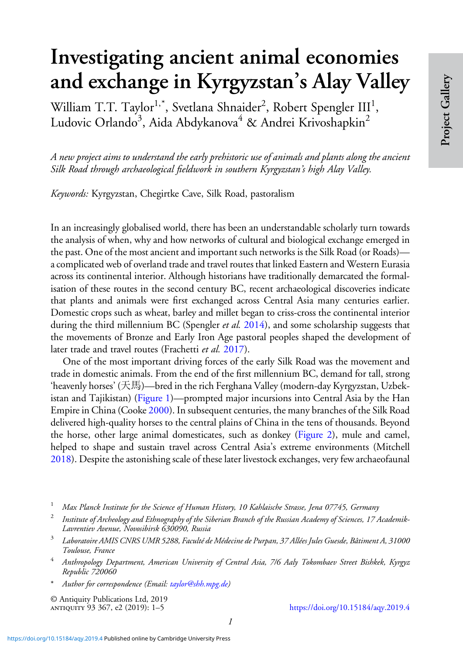## Investigating ancient animal economies and exchange in Kyrgyzstan's Alay Valley

William T.T. Taylor $^{1,*}$ , Svetlana Shnaider $^2$ , Robert Spengler III<sup>1</sup>, Ludovic Orlando<sup>3</sup>, Aida Abdykanova<sup>4</sup> & Andrei Krivoshapkin<sup>2</sup>

A new project aims to understand the early prehistoric use of animals and plants along the ancient Silk Road through archaeological fieldwork in southern Kyrgyzstan's high Alay Valley.

Keywords: Kyrgyzstan, Chegirtke Cave, Silk Road, pastoralism

In an increasingly globalised world, there has been an understandable scholarly turn towards the analysis of when, why and how networks of cultural and biological exchange emerged in the past. One of the most ancient and important such networks is the Silk Road (or Roads) a complicated web of overland trade and travel routes that linked Eastern and Western Eurasia across its continental interior. Although historians have traditionally demarcated the formalisation of these routes in the second century BC, recent archaeological discoveries indicate that plants and animals were first exchanged across Central Asia many centuries earlier. Domestic crops such as wheat, barley and millet began to criss-cross the continental interior during the third millennium BC (Spengler *et al.* [2014\)](#page-4-0), and some scholarship suggests that the movements of Bronze and Early Iron Age pastoral peoples shaped the development of later trade and travel routes (Frachetti et al. [2017](#page-4-0)).

One of the most important driving forces of the early Silk Road was the movement and trade in domestic animals. From the end of the first millennium BC, demand for tall, strong 'heavenly horses' (天馬)—bred in the rich Ferghana Valley (modern-day Kyrgyzstan, Uzbekistan and Tajikistan) [\(Figure 1](#page-1-0))—prompted major incursions into Central Asia by the Han Empire in China (Cooke [2000](#page-4-0)). In subsequent centuries, the many branches of the Silk Road delivered high-quality horses to the central plains of China in the tens of thousands. Beyond the horse, other large animal domesticates, such as donkey [\(Figure 2\)](#page-1-0), mule and camel, helped to shape and sustain travel across Central Asia's extreme environments (Mitchell [2018\)](#page-4-0). Despite the astonishing scale of these later livestock exchanges, very few archaeofaunal

- <sup>1</sup> Max Planck Institute for the Science of Human History, 10 Kahlaische Strasse, Jena 07745, Germany
- <sup>2</sup> Institute of Archeology and Ethnography of the Siberian Branch of the Russian Academy of Sciences, 17 Academik-Lavrentiev Avenue, Novosibirsk 630090, Russia
- <sup>3</sup> Laboratoire AMIS CNRS UMR 5288, Faculté de Médecine de Purpan, 37 Allées Jules Guesde, Bâtiment A, 31000 Toulouse, France
- <sup>4</sup> Anthropology Department, American University of Central Asia, 7/6 Aaly Tokombaev Street Bishkek, Kyrgyz Republic 720060
- Author for correspondence (Email: [taylor@shh.mpg.de\)](mailto:taylor@shh.mpg.de)

© Antiquity Publications Ltd, 2019

<https://doi.org/10.15184/aqy.2019.4>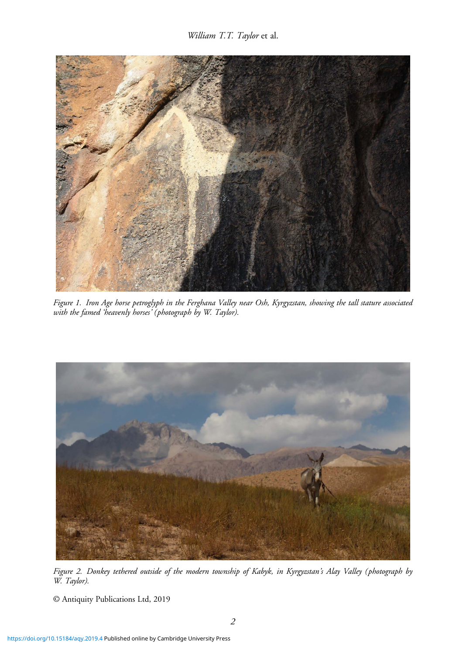<span id="page-1-0"></span>

Figure 1. Iron Age horse petroglyph in the Ferghana Valley near Osh, Kyrgyzstan, showing the tall stature associated with the famed 'heavenly horses' (photograph by W. Taylor).



Figure 2. Donkey tethered outside of the modern township of Kabyk, in Kyrgyzstan's Alay Valley (photograph by W. Taylor).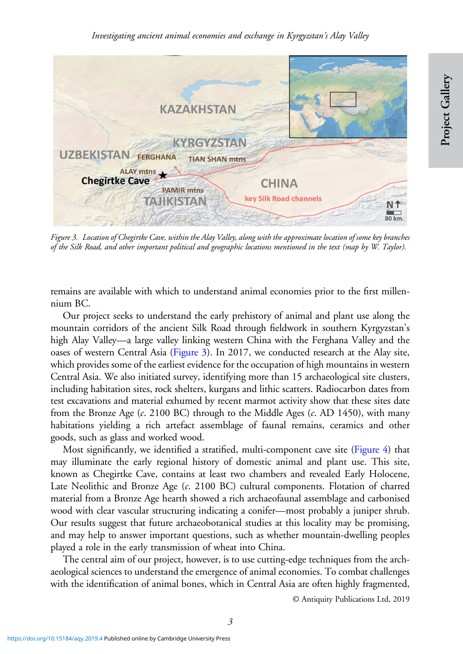

Figure 3. Location of Chegirtke Cave, within the Alay Valley, along with the approximate location of some key branches of the Silk Road, and other important political and geographic locations mentioned in the text (map by W. Taylor).

remains are available with which to understand animal economies prior to the first millennium BC.

Our project seeks to understand the early prehistory of animal and plant use along the mountain corridors of the ancient Silk Road through fieldwork in southern Kyrgyzstan's high Alay Valley—a large valley linking western China with the Ferghana Valley and the oases of western Central Asia (Figure 3). In 2017, we conducted research at the Alay site, which provides some of the earliest evidence for the occupation of high mountains in western Central Asia. We also initiated survey, identifying more than 15 archaeological site clusters, including habitation sites, rock shelters, kurgans and lithic scatters. Radiocarbon dates from test excavations and material exhumed by recent marmot activity show that these sites date from the Bronze Age  $(c. 2100 \text{ BC})$  through to the Middle Ages  $(c. AD 1450)$ , with many habitations yielding a rich artefact assemblage of faunal remains, ceramics and other goods, such as glass and worked wood.

Most significantly, we identified a stratified, multi-component cave site [\(Figure 4](#page-3-0)) that may illuminate the early regional history of domestic animal and plant use. This site, known as Chegirtke Cave, contains at least two chambers and revealed Early Holocene, Late Neolithic and Bronze Age (c. 2100 BC) cultural components. Flotation of charred material from a Bronze Age hearth showed a rich archaeofaunal assemblage and carbonised wood with clear vascular structuring indicating a conifer—most probably a juniper shrub. Our results suggest that future archaeobotanical studies at this locality may be promising, and may help to answer important questions, such as whether mountain-dwelling peoples played a role in the early transmission of wheat into China.

The central aim of our project, however, is to use cutting-edge techniques from the archaeological sciences to understand the emergence of animal economies. To combat challenges with the identification of animal bones, which in Central Asia are often highly fragmented,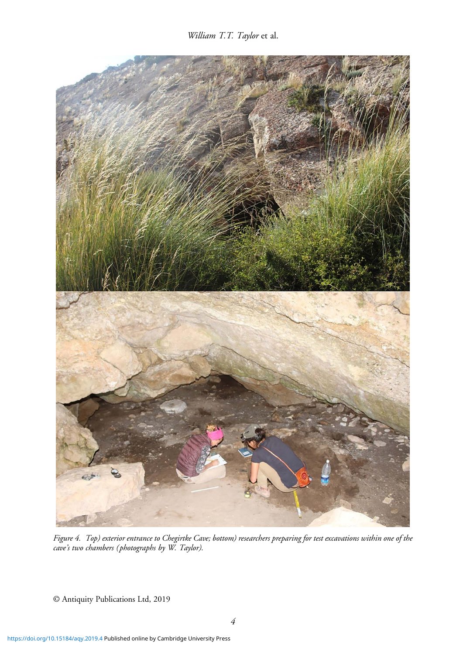William T.T. Taylor et al.

<span id="page-3-0"></span>

Figure 4. Top) exterior entrance to Chegirtke Cave; bottom) researchers preparing for test excavations within one of the cave's two chambers (photographs by W. Taylor).